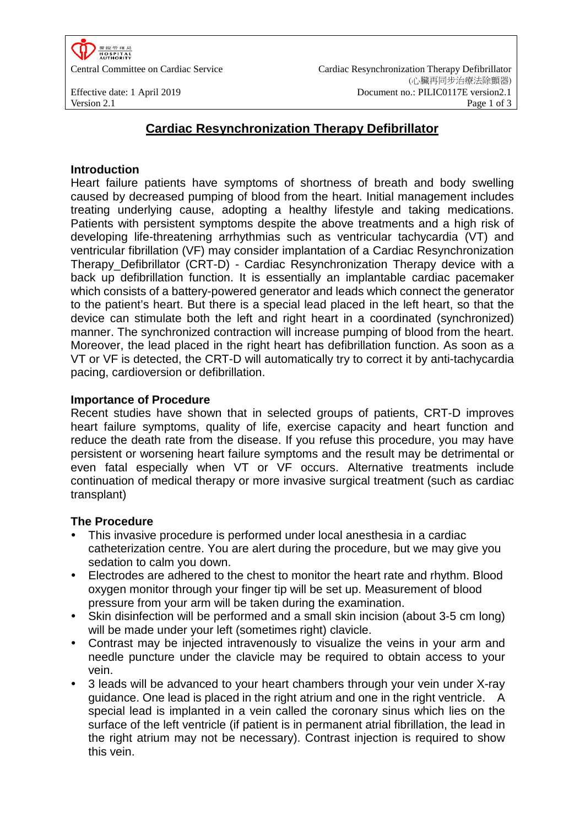

# **Cardiac Resynchronization Therapy Defibrillator**

### **Introduction**

Heart failure patients have symptoms of shortness of breath and body swelling caused by decreased pumping of blood from the heart. Initial management includes treating underlying cause, adopting a healthy lifestyle and taking medications. Patients with persistent symptoms despite the above treatments and a high risk of developing life-threatening arrhythmias such as ventricular tachycardia (VT) and ventricular fibrillation (VF) may consider implantation of a Cardiac Resynchronization Therapy Defibrillator (CRT-D) - Cardiac Resynchronization Therapy device with a back up defibrillation function. It is essentially an implantable cardiac pacemaker which consists of a battery-powered generator and leads which connect the generator to the patient's heart. But there is a special lead placed in the left heart, so that the device can stimulate both the left and right heart in a coordinated (synchronized) manner. The synchronized contraction will increase pumping of blood from the heart. Moreover, the lead placed in the right heart has defibrillation function. As soon as a VT or VF is detected, the CRT-D will automatically try to correct it by anti-tachycardia pacing, cardioversion or defibrillation.

#### **Importance of Procedure**

Recent studies have shown that in selected groups of patients, CRT-D improves heart failure symptoms, quality of life, exercise capacity and heart function and reduce the death rate from the disease. If you refuse this procedure, you may have persistent or worsening heart failure symptoms and the result may be detrimental or even fatal especially when VT or VF occurs. Alternative treatments include continuation of medical therapy or more invasive surgical treatment (such as cardiac transplant)

### **The Procedure**

- This invasive procedure is performed under local anesthesia in a cardiac catheterization centre. You are alert during the procedure, but we may give you sedation to calm you down.
- Electrodes are adhered to the chest to monitor the heart rate and rhythm. Blood oxygen monitor through your finger tip will be set up. Measurement of blood pressure from your arm will be taken during the examination.
- Skin disinfection will be performed and a small skin incision (about 3-5 cm long) will be made under your left (sometimes right) clavicle.
- Contrast may be injected intravenously to visualize the veins in your arm and needle puncture under the clavicle may be required to obtain access to your vein.
- 3 leads will be advanced to your heart chambers through your vein under X-ray guidance. One lead is placed in the right atrium and one in the right ventricle. A special lead is implanted in a vein called the coronary sinus which lies on the surface of the left ventricle (if patient is in permanent atrial fibrillation, the lead in the right atrium may not be necessary). Contrast injection is required to show this vein.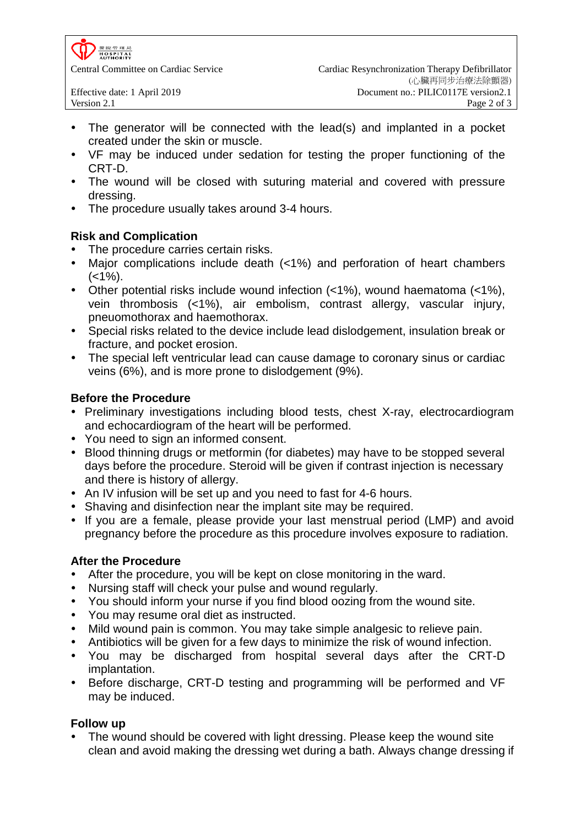- The generator will be connected with the lead(s) and implanted in a pocket created under the skin or muscle.
- VF may be induced under sedation for testing the proper functioning of the CRT-D.
- The wound will be closed with suturing material and covered with pressure dressing.
- The procedure usually takes around 3-4 hours.

## **Risk and Complication**

- The procedure carries certain risks.
- Major complications include death (<1%) and perforation of heart chambers  $(<1\%)$ .
- Other potential risks include wound infection (<1%), wound haematoma (<1%), vein thrombosis (<1%), air embolism, contrast allergy, vascular injury, pneuomothorax and haemothorax.
- Special risks related to the device include lead dislodgement, insulation break or fracture, and pocket erosion.
- The special left ventricular lead can cause damage to coronary sinus or cardiac veins (6%), and is more prone to dislodgement (9%).

## **Before the Procedure**

- Preliminary investigations including blood tests, chest X-ray, electrocardiogram and echocardiogram of the heart will be performed.
- You need to sign an informed consent.
- Blood thinning drugs or metformin (for diabetes) may have to be stopped several days before the procedure. Steroid will be given if contrast injection is necessary and there is history of allergy.
- An IV infusion will be set up and you need to fast for 4-6 hours.
- Shaving and disinfection near the implant site may be required.
- If you are a female, please provide your last menstrual period (LMP) and avoid pregnancy before the procedure as this procedure involves exposure to radiation.

## **After the Procedure**

- After the procedure, you will be kept on close monitoring in the ward.
- Nursing staff will check your pulse and wound regularly.
- You should inform your nurse if you find blood oozing from the wound site.
- You may resume oral diet as instructed.
- Mild wound pain is common. You may take simple analgesic to relieve pain.
- Antibiotics will be given for a few days to minimize the risk of wound infection.
- You may be discharged from hospital several days after the CRT-D implantation.
- Before discharge, CRT-D testing and programming will be performed and VF may be induced.

# **Follow up**

 The wound should be covered with light dressing. Please keep the wound site clean and avoid making the dressing wet during a bath. Always change dressing if